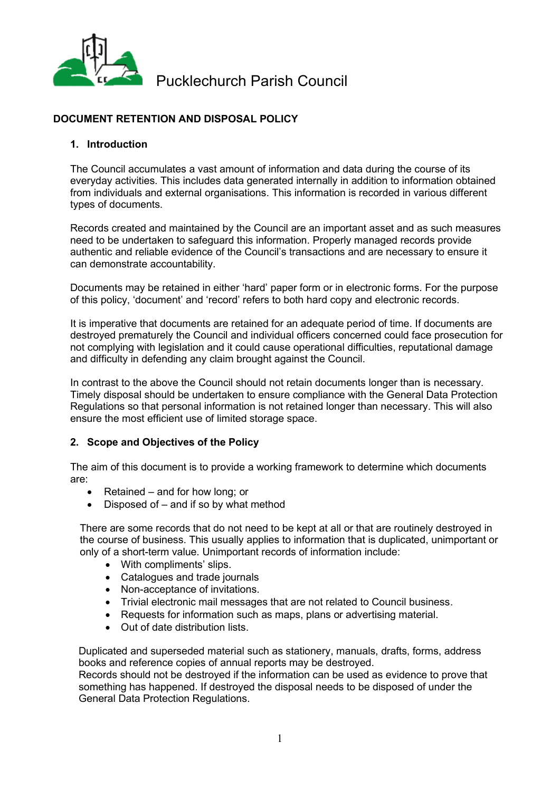

# **DOCUMENT RETENTION AND DISPOSAL POLICY**

### **1. Introduction**

The Council accumulates a vast amount of information and data during the course of its everyday activities. This includes data generated internally in addition to information obtained from individuals and external organisations. This information is recorded in various different types of documents.

Records created and maintained by the Council are an important asset and as such measures need to be undertaken to safeguard this information. Properly managed records provide authentic and reliable evidence of the Council's transactions and are necessary to ensure it can demonstrate accountability.

Documents may be retained in either 'hard' paper form or in electronic forms. For the purpose of this policy, 'document' and 'record' refers to both hard copy and electronic records.

It is imperative that documents are retained for an adequate period of time. If documents are destroyed prematurely the Council and individual officers concerned could face prosecution for not complying with legislation and it could cause operational difficulties, reputational damage and difficulty in defending any claim brought against the Council.

In contrast to the above the Council should not retain documents longer than is necessary. Timely disposal should be undertaken to ensure compliance with the General Data Protection Regulations so that personal information is not retained longer than necessary. This will also ensure the most efficient use of limited storage space.

# **2. Scope and Objectives of the Policy**

The aim of this document is to provide a working framework to determine which documents are:

- Retained and for how long; or
- Disposed of and if so by what method

There are some records that do not need to be kept at all or that are routinely destroyed in the course of business. This usually applies to information that is duplicated, unimportant or only of a short-term value. Unimportant records of information include:

- With compliments' slips.
- Catalogues and trade journals
- Non-acceptance of invitations.
- Trivial electronic mail messages that are not related to Council business.
- Requests for information such as maps, plans or advertising material.
- Out of date distribution lists.

Duplicated and superseded material such as stationery, manuals, drafts, forms, address books and reference copies of annual reports may be destroyed.

Records should not be destroyed if the information can be used as evidence to prove that something has happened. If destroyed the disposal needs to be disposed of under the General Data Protection Regulations.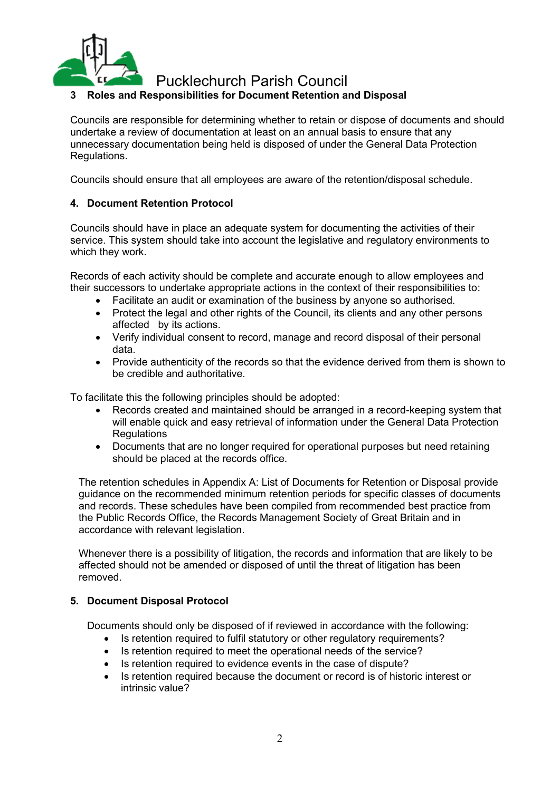

# **3 Roles and Responsibilities for Document Retention and Disposal**

Councils are responsible for determining whether to retain or dispose of documents and should undertake a review of documentation at least on an annual basis to ensure that any unnecessary documentation being held is disposed of under the General Data Protection Regulations.

Councils should ensure that all employees are aware of the retention/disposal schedule.

### **4. Document Retention Protocol**

Councils should have in place an adequate system for documenting the activities of their service. This system should take into account the legislative and regulatory environments to which they work.

Records of each activity should be complete and accurate enough to allow employees and their successors to undertake appropriate actions in the context of their responsibilities to:

- Facilitate an audit or examination of the business by anyone so authorised.
- Protect the legal and other rights of the Council, its clients and any other persons affected by its actions.
- Verify individual consent to record, manage and record disposal of their personal data.
- Provide authenticity of the records so that the evidence derived from them is shown to be credible and authoritative.

To facilitate this the following principles should be adopted:

- Records created and maintained should be arranged in a record-keeping system that will enable quick and easy retrieval of information under the General Data Protection **Regulations**
- Documents that are no longer required for operational purposes but need retaining should be placed at the records office.

The retention schedules in Appendix A: List of Documents for Retention or Disposal provide guidance on the recommended minimum retention periods for specific classes of documents and records. These schedules have been compiled from recommended best practice from the Public Records Office, the Records Management Society of Great Britain and in accordance with relevant legislation.

Whenever there is a possibility of litigation, the records and information that are likely to be affected should not be amended or disposed of until the threat of litigation has been removed.

### **5. Document Disposal Protocol**

Documents should only be disposed of if reviewed in accordance with the following:

- Is retention required to fulfil statutory or other regulatory requirements?
- Is retention required to meet the operational needs of the service?
- Is retention required to evidence events in the case of dispute?
- Is retention required because the document or record is of historic interest or intrinsic value?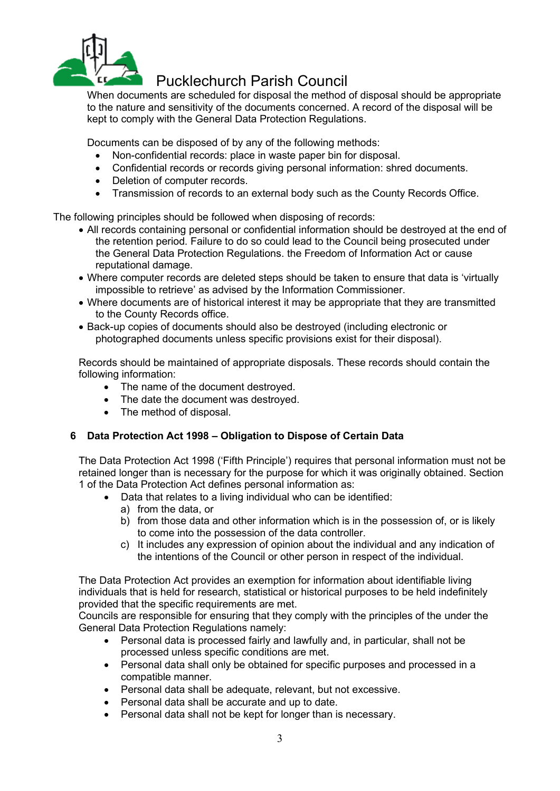

When documents are scheduled for disposal the method of disposal should be appropriate to the nature and sensitivity of the documents concerned. A record of the disposal will be kept to comply with the General Data Protection Regulations.

Documents can be disposed of by any of the following methods:

- Non-confidential records: place in waste paper bin for disposal.
- Confidential records or records giving personal information: shred documents.
- Deletion of computer records.
- Transmission of records to an external body such as the County Records Office.

The following principles should be followed when disposing of records:

- All records containing personal or confidential information should be destroyed at the end of the retention period. Failure to do so could lead to the Council being prosecuted under the General Data Protection Regulations. the Freedom of Information Act or cause reputational damage.
- Where computer records are deleted steps should be taken to ensure that data is 'virtually impossible to retrieve' as advised by the Information Commissioner.
- Where documents are of historical interest it may be appropriate that they are transmitted to the County Records office.
- Back-up copies of documents should also be destroyed (including electronic or photographed documents unless specific provisions exist for their disposal).

Records should be maintained of appropriate disposals. These records should contain the following information:

- The name of the document destroyed.
- The date the document was destroved.
- The method of disposal.

# **6 Data Protection Act 1998 – Obligation to Dispose of Certain Data**

The Data Protection Act 1998 ('Fifth Principle') requires that personal information must not be retained longer than is necessary for the purpose for which it was originally obtained. Section 1 of the Data Protection Act defines personal information as:

- Data that relates to a living individual who can be identified:
	- a) from the data, or
	- b) from those data and other information which is in the possession of, or is likely to come into the possession of the data controller.
	- c) It includes any expression of opinion about the individual and any indication of the intentions of the Council or other person in respect of the individual.

The Data Protection Act provides an exemption for information about identifiable living individuals that is held for research, statistical or historical purposes to be held indefinitely provided that the specific requirements are met.

Councils are responsible for ensuring that they comply with the principles of the under the General Data Protection Regulations namely:

- Personal data is processed fairly and lawfully and, in particular, shall not be processed unless specific conditions are met.
- Personal data shall only be obtained for specific purposes and processed in a compatible manner.
- Personal data shall be adequate, relevant, but not excessive.
- Personal data shall be accurate and up to date.
- Personal data shall not be kept for longer than is necessary.